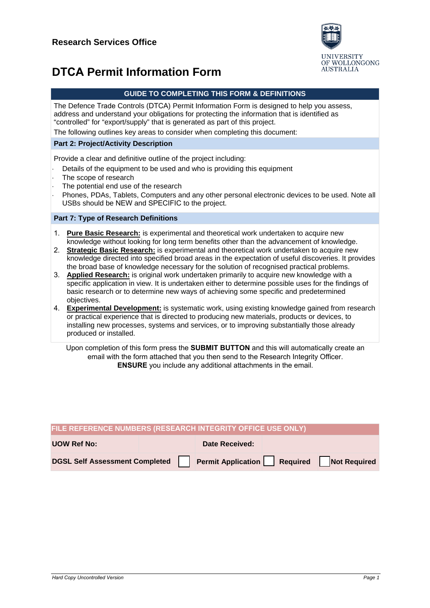

# **DTCA Permit Information Form**

The Defence Trade Controls (DTCA) Permit Information Form is designed to help you assess, address and understand your obligations for protecting the information that is identified as "controlled" for "export/supply" that is generated as part of this project.

The following outlines key areas to consider when completing this document:

## **Part 2: Project/Activity Description**

Provide a clear and definitive outline of the project including:

- Details of the equipment to be used and who is providing this equipment
- The scope of research
- The potential end use of the research

Phones, PDAs, Tablets, Computers and any other personal electronic devices to be used. Note all USBs should be NEW and SPECIFIC to the project.

### **Part 7: Type of Research Definitions**

- 1. **Pure Basic Research:** is experimental and theoretical work undertaken to acquire new knowledge without looking for long term benefits other than the advancement of knowledge.
- 2. **Strategic Basic Research:** is experimental and theoretical work undertaken to acquire new knowledge directed into specified broad areas in the expectation of useful discoveries. It provides the broad base of knowledge necessary for the solution of recognised practical problems.
- 3. **Applied Research:** is original work undertaken primarily to acquire new knowledge with a specific application in view. It is undertaken either to determine possible uses for the findings of basic research or to determine new ways of achieving some specific and predetermined objectives.
- 4. **Experimental Development:** is systematic work, using existing knowledge gained from research or practical experience that is directed to producing new materials, products or devices, to installing new processes, systems and services, or to improving substantially those already produced or installed.

Upon completion of this form press the **SUBMIT BUTTON** and this will automatically create an email with the form attached that you then send to the Research Integrity Officer. **ENSURE** you include any additional attachments in the email.

| FILE REFERENCE NUMBERS (RESEARCH INTEGRITY OFFICE USE ONLY) |  |                                            |  |  |
|-------------------------------------------------------------|--|--------------------------------------------|--|--|
| <b>UOW Ref No:</b>                                          |  | <b>Date Received:</b>                      |  |  |
| DGSL Self Assessment Completed                              |  | Permit Application   Required Not Required |  |  |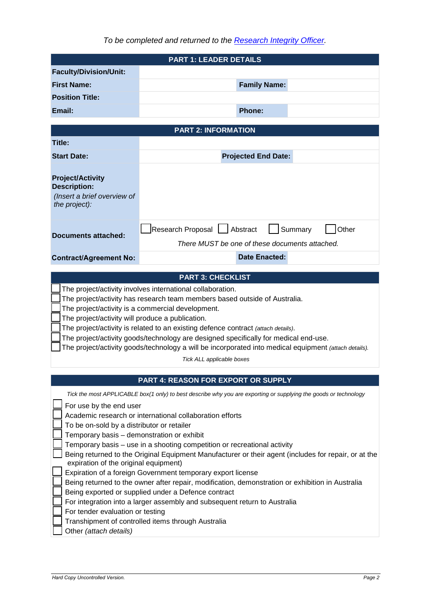|                                                                                                                                                                                                                                                                                                                                                                                                                                                                                                                                                                      | <b>PART 1: LEADER DETAILS</b>                                                                                                                           |  |  |  |  |
|----------------------------------------------------------------------------------------------------------------------------------------------------------------------------------------------------------------------------------------------------------------------------------------------------------------------------------------------------------------------------------------------------------------------------------------------------------------------------------------------------------------------------------------------------------------------|---------------------------------------------------------------------------------------------------------------------------------------------------------|--|--|--|--|
| <b>Faculty/Division/Unit:</b>                                                                                                                                                                                                                                                                                                                                                                                                                                                                                                                                        |                                                                                                                                                         |  |  |  |  |
| <b>First Name:</b>                                                                                                                                                                                                                                                                                                                                                                                                                                                                                                                                                   | <b>Family Name:</b>                                                                                                                                     |  |  |  |  |
| <b>Position Title:</b>                                                                                                                                                                                                                                                                                                                                                                                                                                                                                                                                               |                                                                                                                                                         |  |  |  |  |
|                                                                                                                                                                                                                                                                                                                                                                                                                                                                                                                                                                      |                                                                                                                                                         |  |  |  |  |
| Email:                                                                                                                                                                                                                                                                                                                                                                                                                                                                                                                                                               | <b>Phone:</b>                                                                                                                                           |  |  |  |  |
|                                                                                                                                                                                                                                                                                                                                                                                                                                                                                                                                                                      | <b>PART 2: INFORMATION</b>                                                                                                                              |  |  |  |  |
| Title:                                                                                                                                                                                                                                                                                                                                                                                                                                                                                                                                                               |                                                                                                                                                         |  |  |  |  |
| <b>Start Date:</b>                                                                                                                                                                                                                                                                                                                                                                                                                                                                                                                                                   | <b>Projected End Date:</b>                                                                                                                              |  |  |  |  |
|                                                                                                                                                                                                                                                                                                                                                                                                                                                                                                                                                                      |                                                                                                                                                         |  |  |  |  |
| <b>Project/Activity</b><br><b>Description:</b>                                                                                                                                                                                                                                                                                                                                                                                                                                                                                                                       |                                                                                                                                                         |  |  |  |  |
| (Insert a brief overview of<br>the project):                                                                                                                                                                                                                                                                                                                                                                                                                                                                                                                         |                                                                                                                                                         |  |  |  |  |
|                                                                                                                                                                                                                                                                                                                                                                                                                                                                                                                                                                      | Research Proposal   Abstract<br>Other<br>Summary                                                                                                        |  |  |  |  |
| Documents attached:                                                                                                                                                                                                                                                                                                                                                                                                                                                                                                                                                  | There MUST be one of these documents attached.                                                                                                          |  |  |  |  |
|                                                                                                                                                                                                                                                                                                                                                                                                                                                                                                                                                                      | <b>Date Enacted:</b>                                                                                                                                    |  |  |  |  |
| <b>Contract/Agreement No:</b>                                                                                                                                                                                                                                                                                                                                                                                                                                                                                                                                        |                                                                                                                                                         |  |  |  |  |
|                                                                                                                                                                                                                                                                                                                                                                                                                                                                                                                                                                      | <b>PART 3: CHECKLIST</b>                                                                                                                                |  |  |  |  |
| The project/activity involves international collaboration.<br>The project/activity has research team members based outside of Australia.<br>The project/activity is a commercial development.<br>The project/activity will produce a publication.<br>The project/activity is related to an existing defence contract (attach details).<br>The project/activity goods/technology are designed specifically for medical end-use.<br>The project/activity goods/technology a will be incorporated into medical equipment (attach details).<br>Tick ALL applicable boxes |                                                                                                                                                         |  |  |  |  |
|                                                                                                                                                                                                                                                                                                                                                                                                                                                                                                                                                                      |                                                                                                                                                         |  |  |  |  |
|                                                                                                                                                                                                                                                                                                                                                                                                                                                                                                                                                                      |                                                                                                                                                         |  |  |  |  |
|                                                                                                                                                                                                                                                                                                                                                                                                                                                                                                                                                                      | PART 4: REASON FOR EXPORT OR SUPPLY<br>Tick the most APPLICABLE box(1 only) to best describe why you are exporting or supplying the goods or technology |  |  |  |  |
| For use by the end user                                                                                                                                                                                                                                                                                                                                                                                                                                                                                                                                              |                                                                                                                                                         |  |  |  |  |
|                                                                                                                                                                                                                                                                                                                                                                                                                                                                                                                                                                      | Academic research or international collaboration efforts                                                                                                |  |  |  |  |
| To be on-sold by a distributor or retailer<br>Temporary basis - demonstration or exhibit                                                                                                                                                                                                                                                                                                                                                                                                                                                                             |                                                                                                                                                         |  |  |  |  |
|                                                                                                                                                                                                                                                                                                                                                                                                                                                                                                                                                                      | Temporary basis - use in a shooting competition or recreational activity                                                                                |  |  |  |  |
| expiration of the original equipment)                                                                                                                                                                                                                                                                                                                                                                                                                                                                                                                                | Being returned to the Original Equipment Manufacturer or their agent (includes for repair, or at the                                                    |  |  |  |  |
|                                                                                                                                                                                                                                                                                                                                                                                                                                                                                                                                                                      | Expiration of a foreign Government temporary export license                                                                                             |  |  |  |  |
|                                                                                                                                                                                                                                                                                                                                                                                                                                                                                                                                                                      | Being returned to the owner after repair, modification, demonstration or exhibition in Australia                                                        |  |  |  |  |
|                                                                                                                                                                                                                                                                                                                                                                                                                                                                                                                                                                      | Being exported or supplied under a Defence contract                                                                                                     |  |  |  |  |
| For tender evaluation or testing                                                                                                                                                                                                                                                                                                                                                                                                                                                                                                                                     | For integration into a larger assembly and subsequent return to Australia                                                                               |  |  |  |  |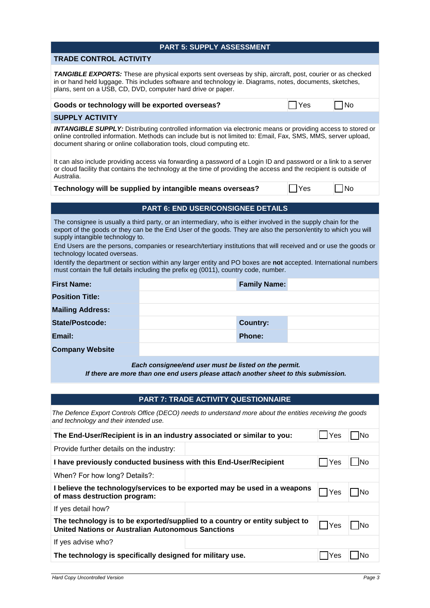| <b>PART 5: SUPPLY ASSESSMENT</b>                                                                                                                                                                                                                                                                                                                                                                                                                                                                                                                                                                                                      |                                                        |                                             |                     |            |            |            |
|---------------------------------------------------------------------------------------------------------------------------------------------------------------------------------------------------------------------------------------------------------------------------------------------------------------------------------------------------------------------------------------------------------------------------------------------------------------------------------------------------------------------------------------------------------------------------------------------------------------------------------------|--------------------------------------------------------|---------------------------------------------|---------------------|------------|------------|------------|
| <b>TRADE CONTROL ACTIVITY</b>                                                                                                                                                                                                                                                                                                                                                                                                                                                                                                                                                                                                         |                                                        |                                             |                     |            |            |            |
| TANGIBLE EXPORTS: These are physical exports sent overseas by ship, aircraft, post, courier or as checked<br>in or hand held luggage. This includes software and technology ie. Diagrams, notes, documents, sketches,<br>plans, sent on a USB, CD, DVD, computer hard drive or paper.                                                                                                                                                                                                                                                                                                                                                 |                                                        |                                             |                     |            |            |            |
|                                                                                                                                                                                                                                                                                                                                                                                                                                                                                                                                                                                                                                       | Goods or technology will be exported overseas?<br> Yes |                                             |                     |            |            | No         |
| <b>SUPPLY ACTIVITY</b>                                                                                                                                                                                                                                                                                                                                                                                                                                                                                                                                                                                                                |                                                        |                                             |                     |            |            |            |
| <b>INTANGIBLE SUPPLY:</b> Distributing controlled information via electronic means or providing access to stored or<br>online controlled information. Methods can include but is not limited to: Email, Fax, SMS, MMS, server upload,<br>document sharing or online collaboration tools, cloud computing etc.                                                                                                                                                                                                                                                                                                                         |                                                        |                                             |                     |            |            |            |
| It can also include providing access via forwarding a password of a Login ID and password or a link to a server<br>or cloud facility that contains the technology at the time of providing the access and the recipient is outside of<br>Australia.                                                                                                                                                                                                                                                                                                                                                                                   |                                                        |                                             |                     |            |            |            |
| Technology will be supplied by intangible means overseas?                                                                                                                                                                                                                                                                                                                                                                                                                                                                                                                                                                             |                                                        |                                             |                     | <b>Yes</b> |            | 1No        |
|                                                                                                                                                                                                                                                                                                                                                                                                                                                                                                                                                                                                                                       |                                                        | PART 6: END USER/CONSIGNEE DETAILS          |                     |            |            |            |
| The consignee is usually a third party, or an intermediary, who is either involved in the supply chain for the<br>export of the goods or they can be the End User of the goods. They are also the person/entity to which you will<br>supply intangible technology to.<br>End Users are the persons, companies or research/tertiary institutions that will received and or use the goods or<br>technology located overseas.<br>Identify the department or section within any larger entity and PO boxes are not accepted. International numbers<br>must contain the full details including the prefix eg (0011), country code, number. |                                                        |                                             |                     |            |            |            |
| <b>First Name:</b>                                                                                                                                                                                                                                                                                                                                                                                                                                                                                                                                                                                                                    |                                                        |                                             | <b>Family Name:</b> |            |            |            |
| <b>Position Title:</b>                                                                                                                                                                                                                                                                                                                                                                                                                                                                                                                                                                                                                |                                                        |                                             |                     |            |            |            |
| <b>Mailing Address:</b>                                                                                                                                                                                                                                                                                                                                                                                                                                                                                                                                                                                                               |                                                        |                                             |                     |            |            |            |
| <b>State/Postcode:</b>                                                                                                                                                                                                                                                                                                                                                                                                                                                                                                                                                                                                                |                                                        |                                             | <b>Country:</b>     |            |            |            |
| Email:                                                                                                                                                                                                                                                                                                                                                                                                                                                                                                                                                                                                                                |                                                        |                                             | <b>Phone:</b>       |            |            |            |
| <b>Company Website</b>                                                                                                                                                                                                                                                                                                                                                                                                                                                                                                                                                                                                                |                                                        |                                             |                     |            |            |            |
| Each consignee/end user must be listed on the permit.<br>If there are more than one end users please attach another sheet to this submission.                                                                                                                                                                                                                                                                                                                                                                                                                                                                                         |                                                        |                                             |                     |            |            |            |
|                                                                                                                                                                                                                                                                                                                                                                                                                                                                                                                                                                                                                                       |                                                        |                                             |                     |            |            |            |
|                                                                                                                                                                                                                                                                                                                                                                                                                                                                                                                                                                                                                                       |                                                        | <b>PART 7: TRADE ACTIVITY QUESTIONNAIRE</b> |                     |            |            |            |
| The Defence Export Controls Office (DECO) needs to understand more about the entities receiving the goods<br>and technology and their intended use.                                                                                                                                                                                                                                                                                                                                                                                                                                                                                   |                                                        |                                             |                     |            |            |            |
| The End-User/Recipient is in an industry associated or similar to you:                                                                                                                                                                                                                                                                                                                                                                                                                                                                                                                                                                |                                                        |                                             |                     |            | 」Yes       | <b>INo</b> |
| Provide further details on the industry:                                                                                                                                                                                                                                                                                                                                                                                                                                                                                                                                                                                              |                                                        |                                             |                     |            |            |            |
| I have previously conducted business with this End-User/Recipient                                                                                                                                                                                                                                                                                                                                                                                                                                                                                                                                                                     |                                                        |                                             |                     |            | <b>Yes</b> | <b>No</b>  |
| When? For how long? Details?:                                                                                                                                                                                                                                                                                                                                                                                                                                                                                                                                                                                                         |                                                        |                                             |                     |            |            |            |
| I believe the technology/services to be exported may be used in a weapons<br>$\n  No\n$<br> Yes<br>of mass destruction program:                                                                                                                                                                                                                                                                                                                                                                                                                                                                                                       |                                                        |                                             |                     |            |            |            |
| If yes detail how?                                                                                                                                                                                                                                                                                                                                                                                                                                                                                                                                                                                                                    |                                                        |                                             |                     |            |            |            |
| The technology is to be exported/supplied to a country or entity subject to<br><b>United Nations or Australian Autonomous Sanctions</b>                                                                                                                                                                                                                                                                                                                                                                                                                                                                                               |                                                        |                                             |                     |            | $\Box$ Yes | No         |
| If yes advise who?                                                                                                                                                                                                                                                                                                                                                                                                                                                                                                                                                                                                                    |                                                        |                                             |                     |            |            |            |
| The technology is specifically designed for military use.                                                                                                                                                                                                                                                                                                                                                                                                                                                                                                                                                                             |                                                        |                                             |                     |            | Yes        | <b>No</b>  |